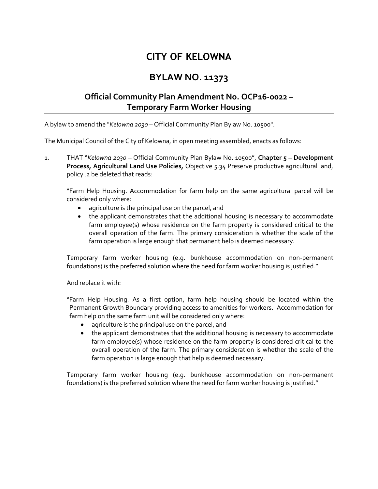## **CITY OF KELOWNA**

## **BYLAW NO. 11373**

## **Official Community Plan Amendment No. OCP16-0022 – Temporary Farm Worker Housing**

A bylaw to amend the "*Kelowna 2030* – Official Community Plan Bylaw No. 10500".

The Municipal Council of the City of Kelowna, in open meeting assembled, enacts as follows:

1. THAT "*Kelowna 2030* – Official Community Plan Bylaw No. 10500", **Chapter 5 – Development Process, Agricultural Land Use Policies,** Objective 5.34 Preserve productive agricultural land, policy .2 be deleted that reads:

"Farm Help Housing. Accommodation for farm help on the same agricultural parcel will be considered only where:

- agriculture is the principal use on the parcel, and
- the applicant demonstrates that the additional housing is necessary to accommodate farm employee(s) whose residence on the farm property is considered critical to the overall operation of the farm. The primary consideration is whether the scale of the farm operation is large enough that permanent help is deemed necessary.

Temporary farm worker housing (e.g. bunkhouse accommodation on non-permanent foundations) is the preferred solution where the need for farm worker housing is justified."

And replace it with:

"Farm Help Housing. As a first option, farm help housing should be located within the Permanent Growth Boundary providing access to amenities for workers. Accommodation for farm help on the same farm unit will be considered only where:

- agriculture is the principal use on the parcel, and
- the applicant demonstrates that the additional housing is necessary to accommodate farm employee(s) whose residence on the farm property is considered critical to the overall operation of the farm. The primary consideration is whether the scale of the farm operation is large enough that help is deemed necessary.

Temporary farm worker housing (e.g. bunkhouse accommodation on non-permanent foundations) is the preferred solution where the need for farm worker housing is justified."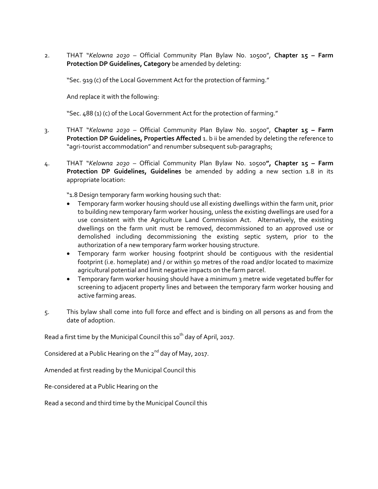2. THAT "*Kelowna 2030* – Official Community Plan Bylaw No. 10500", **Chapter 15 – Farm Protection DP Guidelines, Category** be amended by deleting:

"Sec. 919 (c) of the Local Government Act for the protection of farming."

And replace it with the following:

"Sec. 488 (1) (c) of the Local Government Act for the protection of farming."

- 3. THAT "*Kelowna 2030* Official Community Plan Bylaw No. 10500", **Chapter 15 – Farm Protection DP Guidelines, Properties Affected** 1. b ii be amended by deleting the reference to "agri-tourist accommodation" and renumber subsequent sub-paragraphs;
- 4. THAT "*Kelowna 2030* Official Community Plan Bylaw No. 10500**", Chapter 15 – Farm Protection DP Guidelines, Guidelines** be amended by adding a new section 1.8 in its appropriate location:

"1.8 Design temporary farm working housing such that:

- Temporary farm worker housing should use all existing dwellings within the farm unit, prior to building new temporary farm worker housing, unless the existing dwellings are used for a use consistent with the Agriculture Land Commission Act. Alternatively, the existing dwellings on the farm unit must be removed, decommissioned to an approved use or demolished including decommissioning the existing septic system, prior to the authorization of a new temporary farm worker housing structure.
- Temporary farm worker housing footprint should be contiguous with the residential footprint (i.e. homeplate) and / or within 50 metres of the road and/or located to maximize agricultural potential and limit negative impacts on the farm parcel.
- Temporary farm worker housing should have a minimum 3 metre wide vegetated buffer for screening to adjacent property lines and between the temporary farm worker housing and active farming areas.
- 5. This bylaw shall come into full force and effect and is binding on all persons as and from the date of adoption.

Read a first time by the Municipal Council this  $10^{th}$  day of April, 2017.

Considered at a Public Hearing on the 2<sup>nd</sup> day of May, 2017.

Amended at first reading by the Municipal Council this

Re-considered at a Public Hearing on the

Read a second and third time by the Municipal Council this